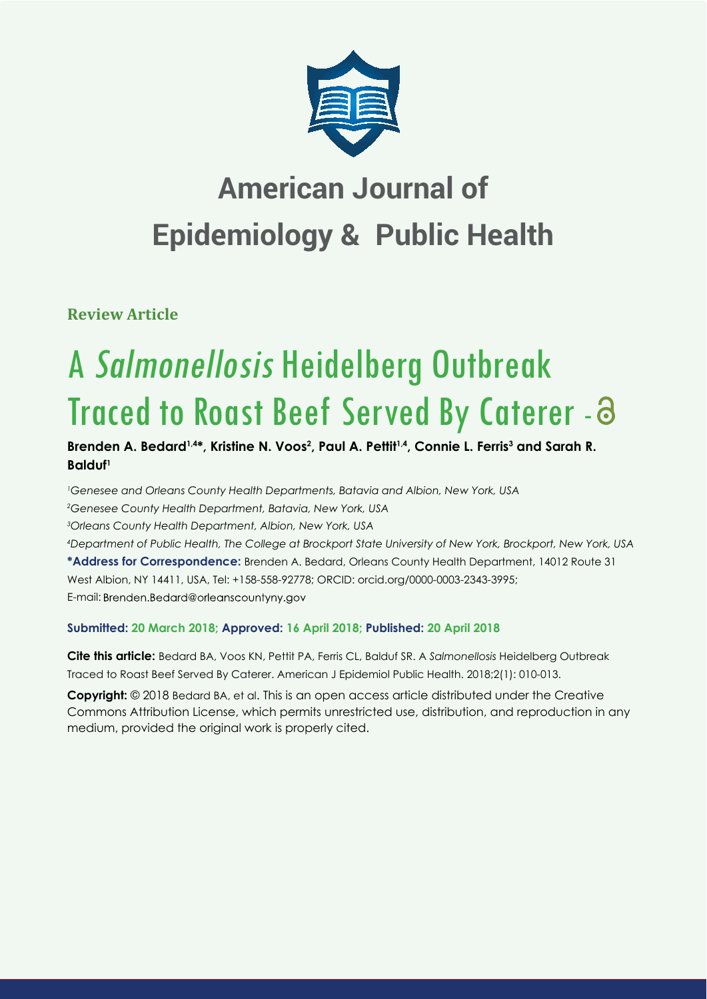

# **American Journal of Epidemiology & Public Health**

**Review Article**

# A Salmonellosis Heidelberg Outbreak Traced to Roast Beef Served By Caterer -

Brenden A. Bedard<sup>1,4\*</sup>, Kristine N. Voos<sup>2</sup>, Paul A. Pettit<sup>1,4</sup>, Connie L. Ferris<sup>3</sup> and Sarah R. **Balduf1**

*1 Genesee and Orleans County Health Departments, Batavia and Albion, New York, USA 2 Genesee County Health Department, Batavia, New York, USA 3 Orleans County Health Department, Albion, New York, USA 4 Department of Public Health, The College at Brockport State University of New York, Brockport, New York, USA* **\*Address for Correspondence:** Brenden A. Bedard, Orleans County Health Department, 14012 Route 31 West Albion, NY 14411, USA, Tel: +158-558-92778; ORCID: orcid.org/0000-0003-2343-3995; E-mail: Brenden.Bedard@orleanscountyny.gov

# **Submitted: 20 March 2018; Approved: 16 April 2018; Published: 20 April 2018**

**Cite this article:** Bedard BA, Voos KN, Pettit PA, Ferris CL, Balduf SR. A *Salmonellosis* Heidelberg Outbreak Traced to Roast Beef Served By Caterer. American J Epidemiol Public Health. 2018;2(1): 010-013.

**Copyright:** © 2018 Bedard BA, et al. This is an open access article distributed under the Creative Commons Attribution License, which permits unrestricted use, distribution, and reproduction in any medium, provided the original work is properly cited.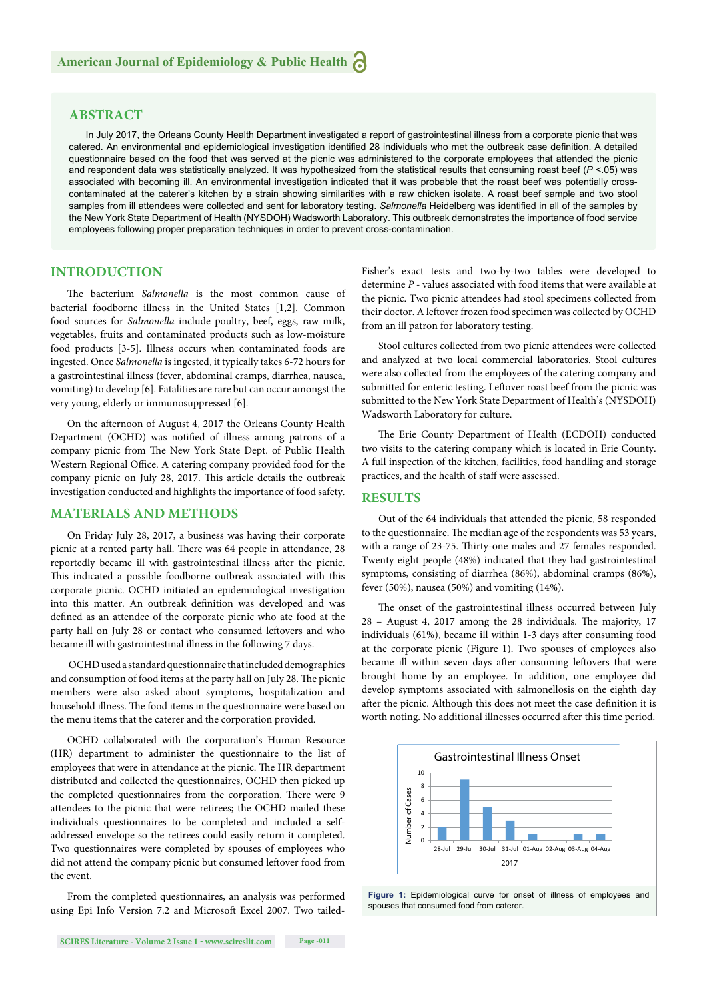# **ABSTRACT**

In July 2017, the Orleans County Health Department investigated a report of gastrointestinal illness from a corporate picnic that was catered. An environmental and epidemiological investigation identified 28 individuals who met the outbreak case definition. A detailed questionnaire based on the food that was served at the picnic was administered to the corporate employees that attended the picnic and respondent data was statistically analyzed. It was hypothesized from the statistical results that consuming roast beef (*P* <.05) was associated with becoming ill. An environmental investigation indicated that it was probable that the roast beef was potentially crosscontaminated at the caterer's kitchen by a strain showing similarities with a raw chicken isolate. A roast beef sample and two stool samples from ill attendees were collected and sent for laboratory testing. Salmonella Heidelberg was identified in all of the samples by the New York State Department of Health (NYSDOH) Wadsworth Laboratory. This outbreak demonstrates the importance of food service employees following proper preparation techniques in order to prevent cross-contamination.

# **INTRODUCTION**

The bacterium *Salmonella* is the most common cause of bacterial foodborne illness in the United States [1,2]. Common food sources for *Salmonella* include poultry, beef, eggs, raw milk, vegetables, fruits and contaminated products such as low-moisture food products [3-5]. Illness occurs when contaminated foods are ingested. Once *Salmonella* is ingested, it typically takes 6-72 hours for a gastrointestinal illness (fever, abdominal cramps, diarrhea, nausea, vomiting) to develop [6]. Fatalities are rare but can occur amongst the very young, elderly or immunosuppressed [6].

On the afternoon of August 4, 2017 the Orleans County Health Department (OCHD) was notified of illness among patrons of a company picnic from The New York State Dept. of Public Health Western Regional Office. A catering company provided food for the company picnic on July 28, 2017. This article details the outbreak investigation conducted and highlights the importance of food safety.

# **MATERIALS AND METHODS**

On Friday July 28, 2017, a business was having their corporate picnic at a rented party hall. There was 64 people in attendance, 28 reportedly became ill with gastrointestinal illness after the picnic. This indicated a possible foodborne outbreak associated with this corporate picnic. OCHD initiated an epidemiological investigation into this matter. An outbreak definition was developed and was defined as an attendee of the corporate picnic who ate food at the party hall on July 28 or contact who consumed leftovers and who became ill with gastrointestinal illness in the following 7 days.

 OCHD used a standard questionnaire that included demographics and consumption of food items at the party hall on July 28. The picnic members were also asked about symptoms, hospitalization and household illness. The food items in the questionnaire were based on the menu items that the caterer and the corporation provided.

OCHD collaborated with the corporation's Human Resource (HR) department to administer the questionnaire to the list of employees that were in attendance at the picnic. The HR department distributed and collected the questionnaires, OCHD then picked up the completed questionnaires from the corporation. There were 9 attendees to the picnic that were retirees; the OCHD mailed these individuals questionnaires to be completed and included a selfaddressed envelope so the retirees could easily return it completed. Two questionnaires were completed by spouses of employees who did not attend the company picnic but consumed leftover food from the event.

From the completed questionnaires, an analysis was performed using Epi Info Version 7.2 and Microsoft Excel 2007. Two tailedFisher's exact tests and two-by-two tables were developed to determine *P* - values associated with food items that were available at the picnic. Two picnic attendees had stool specimens collected from their doctor. A leftover frozen food specimen was collected by OCHD from an ill patron for laboratory testing.

Stool cultures collected from two picnic attendees were collected and analyzed at two local commercial laboratories. Stool cultures were also collected from the employees of the catering company and submitted for enteric testing. Leftover roast beef from the picnic was submitted to the New York State Department of Health's (NYSDOH) Wadsworth Laboratory for culture.

The Erie County Department of Health (ECDOH) conducted two visits to the catering company which is located in Erie County. A full inspection of the kitchen, facilities, food handling and storage practices, and the health of staff were assessed.

#### **RESULTS**

Out of the 64 individuals that attended the picnic, 58 responded to the questionnaire. The median age of the respondents was 53 years, with a range of 23-75. Thirty-one males and 27 females responded. Twenty eight people (48%) indicated that they had gastrointestinal symptoms, consisting of diarrhea (86%), abdominal cramps (86%), fever (50%), nausea (50%) and vomiting (14%).

The onset of the gastrointestinal illness occurred between July  $28$  – August 4, 2017 among the 28 individuals. The majority, 17 individuals (61%), became ill within 1-3 days after consuming food at the corporate picnic (Figure 1). Two spouses of employees also became ill within seven days after consuming leftovers that were brought home by an employee. In addition, one employee did develop symptoms associated with salmonellosis on the eighth day after the picnic. Although this does not meet the case definition it is worth noting. No additional illnesses occurred after this time period.

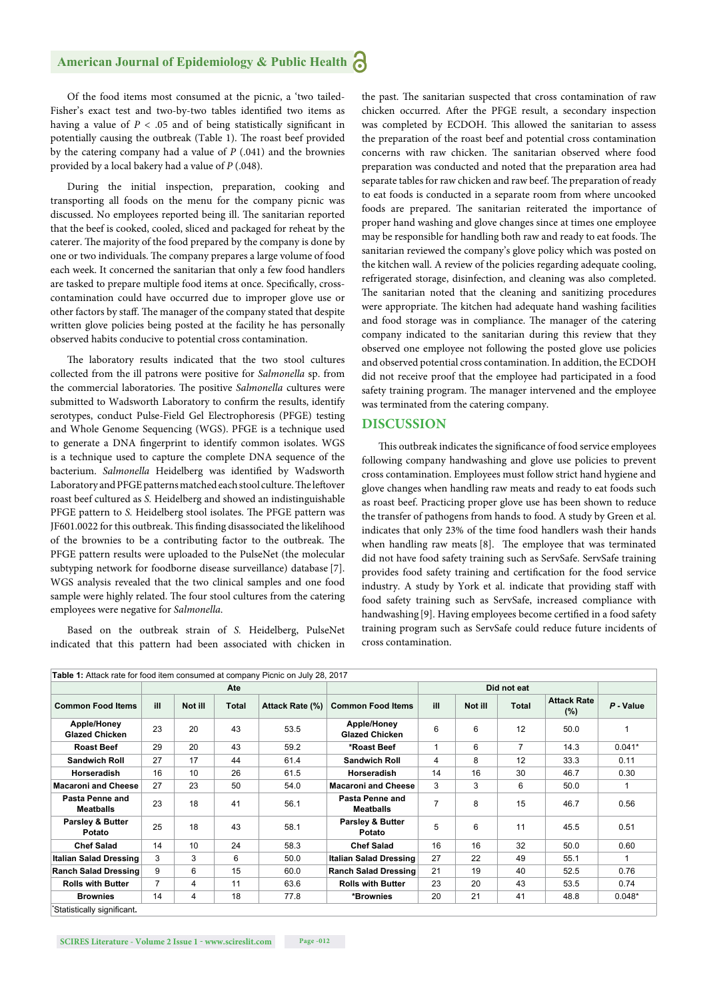# **American Journal of Epidemiology & Public Health**

Of the food items most consumed at the picnic, a 'two tailed-Fisher's exact test and two-by-two tables identified two items as having a value of  $P < .05$  and of being statistically significant in potentially causing the outbreak (Table 1). The roast beef provided by the catering company had a value of *P* (.041) and the brownies provided by a local bakery had a value of *P* (.048).

During the initial inspection, preparation, cooking and transporting all foods on the menu for the company picnic was discussed. No employees reported being ill. The sanitarian reported that the beef is cooked, cooled, sliced and packaged for reheat by the caterer. The majority of the food prepared by the company is done by one or two individuals. The company prepares a large volume of food each week. It concerned the sanitarian that only a few food handlers are tasked to prepare multiple food items at once. Specifically, crosscontamination could have occurred due to improper glove use or other factors by staff. The manager of the company stated that despite written glove policies being posted at the facility he has personally observed habits conducive to potential cross contamination.

The laboratory results indicated that the two stool cultures collected from the ill patrons were positive for *Salmonella* sp. from the commercial laboratories. The positive *Salmonella* cultures were submitted to Wadsworth Laboratory to confirm the results, identify serotypes, conduct Pulse-Field Gel Electrophoresis (PFGE) testing and Whole Genome Sequencing (WGS). PFGE is a technique used to generate a DNA fingerprint to identify common isolates. WGS is a technique used to capture the complete DNA sequence of the bacterium. *Salmonella* Heidelberg was identified by Wadsworth Laboratory and PFGE patterns matched each stool culture. The leftover roast beef cultured as *S.* Heidelberg and showed an indistinguishable PFGE pattern to *S*. Heidelberg stool isolates. The PFGE pattern was JF601.0022 for this outbreak. This finding disassociated the likelihood of the brownies to be a contributing factor to the outbreak. The PFGE pattern results were uploaded to the PulseNet (the molecular subtyping network for foodborne disease surveillance) database [7]. WGS analysis revealed that the two clinical samples and one food sample were highly related. The four stool cultures from the catering employees were negative for *Salmonella*.

Based on the outbreak strain of *S.* Heidelberg, PulseNet indicated that this pattern had been associated with chicken in

the past. The sanitarian suspected that cross contamination of raw chicken occurred. After the PFGE result, a secondary inspection was completed by ECDOH. This allowed the sanitarian to assess the preparation of the roast beef and potential cross contamination concerns with raw chicken. The sanitarian observed where food preparation was conducted and noted that the preparation area had separate tables for raw chicken and raw beef. The preparation of ready to eat foods is conducted in a separate room from where uncooked foods are prepared. The sanitarian reiterated the importance of proper hand washing and glove changes since at times one employee may be responsible for handling both raw and ready to eat foods. The sanitarian reviewed the company's glove policy which was posted on the kitchen wall. A review of the policies regarding adequate cooling, refrigerated storage, disinfection, and cleaning was also completed. The sanitarian noted that the cleaning and sanitizing procedures were appropriate. The kitchen had adequate hand washing facilities and food storage was in compliance. The manager of the catering company indicated to the sanitarian during this review that they observed one employee not following the posted glove use policies and observed potential cross contamination. In addition, the ECDOH did not receive proof that the employee had participated in a food safety training program. The manager intervened and the employee was terminated from the catering company.

#### **DISCUSSION**

This outbreak indicates the significance of food service employees following company handwashing and glove use policies to prevent cross contamination. Employees must follow strict hand hygiene and glove changes when handling raw meats and ready to eat foods such as roast beef. Practicing proper glove use has been shown to reduce the transfer of pathogens from hands to food. A study by Green et al. indicates that only 23% of the time food handlers wash their hands when handling raw meats [8]. The employee that was terminated did not have food safety training such as ServSafe. ServSafe training provides food safety training and certification for the food service industry. A study by York et al. indicate that providing staff with food safety training such as ServSafe, increased compliance with handwashing [9]. Having employees become certified in a food safety training program such as ServSafe could reduce future incidents of cross contamination.

| <b>Common Food Items</b>              | Ate            |         |       |                 |                                       | Did not eat    |         |                |                               |             |
|---------------------------------------|----------------|---------|-------|-----------------|---------------------------------------|----------------|---------|----------------|-------------------------------|-------------|
|                                       | ill            | Not ill | Total | Attack Rate (%) | <b>Common Food Items</b>              | ill            | Not ill | <b>Total</b>   | <b>Attack Rate</b><br>$(\% )$ | $P - Value$ |
| Apple/Honey<br><b>Glazed Chicken</b>  | 23             | 20      | 43    | 53.5            | Apple/Honey<br><b>Glazed Chicken</b>  | 6              | 6       | 12             | 50.0                          |             |
| <b>Roast Beef</b>                     | 29             | 20      | 43    | 59.2            | *Roast Beef                           | -1             | 6       | $\overline{7}$ | 14.3                          | $0.041*$    |
| <b>Sandwich Roll</b>                  | 27             | 17      | 44    | 61.4            | <b>Sandwich Roll</b>                  | 4              | 8       | 12             | 33.3                          | 0.11        |
| Horseradish                           | 16             | 10      | 26    | 61.5            | Horseradish                           | 14             | 16      | 30             | 46.7                          | 0.30        |
| <b>Macaroni and Cheese</b>            | 27             | 23      | 50    | 54.0            | <b>Macaroni and Cheese</b>            | 3              | 3       | 6              | 50.0                          |             |
| Pasta Penne and<br><b>Meatballs</b>   | 23             | 18      | 41    | 56.1            | Pasta Penne and<br><b>Meatballs</b>   | $\overline{7}$ | 8       | 15             | 46.7                          | 0.56        |
| <b>Parsley &amp; Butter</b><br>Potato | 25             | 18      | 43    | 58.1            | <b>Parsley &amp; Butter</b><br>Potato | 5              | 6       | 11             | 45.5                          | 0.51        |
| <b>Chef Salad</b>                     | 14             | 10      | 24    | 58.3            | <b>Chef Salad</b>                     | 16             | 16      | 32             | 50.0                          | 0.60        |
| <b>Italian Salad Dressing</b>         | 3              | 3       | 6     | 50.0            | <b>Italian Salad Dressing</b>         | 27             | 22      | 49             | 55.1                          |             |
| <b>Ranch Salad Dressing</b>           | 9              | 6       | 15    | 60.0            | <b>Ranch Salad Dressing</b>           | 21             | 19      | 40             | 52.5                          | 0.76        |
| <b>Rolls with Butter</b>              | $\overline{7}$ | 4       | 11    | 63.6            | <b>Rolls with Butter</b>              | 23             | 20      | 43             | 53.5                          | 0.74        |
| <b>Brownies</b>                       | 14             | 4       | 18    | 77.8            | *Brownies                             | 20             | 21      | 41             | 48.8                          | $0.048*$    |